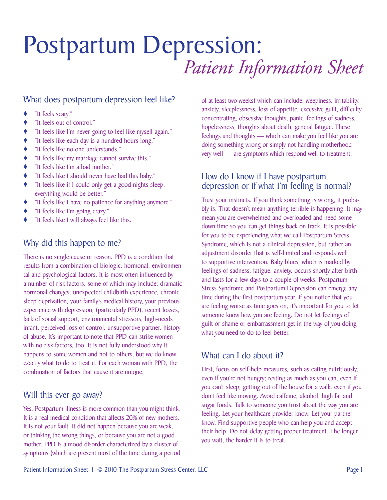# Postpartum Depression: *Patient Information Sheet*

#### What does postpartum depression feel like?

- "It feels scary."
- "It feels out of control."
- "It feels like I'm never going to feel like myself again."
- "It feels like each day is a hundred hours long."
- "It feels like no one understands."
- "It feels like my marriage cannot survive this."
- "It feels like I'm a bad mother."
- "It feels like I should never have had this baby."
- "It feels like if I could only get a good nights sleep, everything would be better."
- "It feels like I have no patience for anything anymore."
- "It feels like I'm going crazy."
- "It feels like I will always feel like this."

# Why did this happen to me?

There is no single cause or reason. PPD is a condition that results from a combination of biologic, hormonal, environmental and psychological factors. It is most often influenced by a number of risk factors, some of which may include: dramatic hormonal changes, unexpected childbirth experience, chronic sleep deprivation, your family's medical history, your previous experience with depression, (particularly PPD), recent losses, lack of social support, environmental stressors, high-needs infant, perceived loss of control, unsupportive partner, history of abuse. It's important to note that PPD can strike women with no risk factors, too. It is not fully understood why it happens to some women and not to others, but we do know exactly what to do to treat it. For each woman with PPD, the combination of factors that cause it are unique.

# Will this ever go away?

Yes. Postpartum illness is more common than you might think. It is a real medical condition that affects 20% of new mothers. It is not your fault. It did not happen because you are weak, or thinking the wrong things, or because you are not a good mother. PPD is a mood disorder characterized by a cluster of symptoms (which are present most of the time during a period of at least two weeks) which can include: weepiness, irritability, anxiety, sleeplessness, loss of appetite, excessive guilt, difficulty concentrating, obsessive thoughts, panic, feelings of sadness, hopelessness, thoughts about death, general fatigue. These feelings and thoughts — which can make you feel like you are doing something wrong or simply not handling motherhood very well — are symptoms which respond well to treatment.

#### How do I know if I have postpartum depression or if what I'm feeling is normal?

Trust your instincts. If you think something is wrong, it probably is. That doesn't mean anything terrible is happening. It may mean you are overwhelmed and overloaded and need some down time so you can get things back on track. It is possible for you to be experiencing what we call Postpartum Stress Syndrome, which is not a clinical depression, but rather an adjustment disorder that is self-limited and responds well to supportive intervention. Baby blues, which is marked by feelings of sadness, fatigue, anxiety, occurs shortly after birth and lasts for a few days to a couple of weeks. Postpartum Stress Syndrome and Postpartum Depression can emerge any time during the first postpartum year. If you notice that you are feeling worse as time goes on, it's important for you to let someone know how you are feeling. Do not let feelings of guilt or shame or embarrassment get in the way of you doing what you need to do to feel better.

# What can I do about it?

First, focus on self-help measures, such as eating nutritiously, even if you're not hungry; resting as much as you can, even if you can't sleep; getting out of the house for a walk, even if you don't feel like moving. Avoid caffeine, alcohol, high fat and sugar foods. Talk to someone you trust about the way you are feeling. Let your healthcare provider know. Let your partner know. Find supportive people who can help you and accept their help. Do not delay getting proper treatment. The longer you wait, the harder it is to treat.